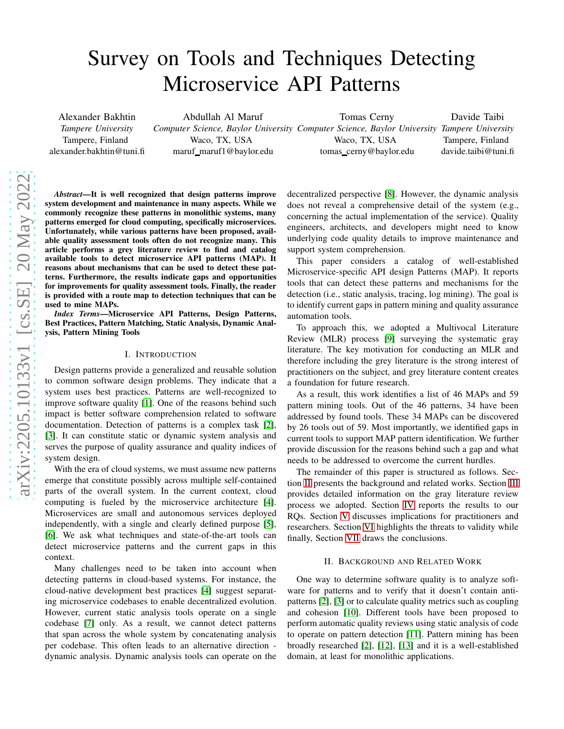# Survey on Tools and Techniques Detecting Microservice API Patterns

Alexander Bakhtin *Tampere University* Tampere, Finland alexander.bakhtin@tuni.fi

Abdullah Al Maruf *Computer Science, Baylor University Computer Science, Baylor University Tampere University* Waco, TX, USA maruf\_maruf1@baylor.edu Tomas Cerny Waco, TX, USA tomas cerny@baylor.edu

Davide Taibi Tampere, Finland davide.taibi@tuni.fi

*Abstract*—It is well recognized that design patterns improve system development and maintenance in many aspects. While we commonly recognize these patterns in monolithic systems, many patterns emerged for cloud computing, specifically microservices. Unfortunately, while various patterns have been proposed, available quality assessment tools often do not recognize many. This article performs a grey literature review to find and catalog available tools to detect microservice API patterns (MAP). It reasons about mechanisms that can be used to detect these patterns. Furthermore, the results indicate gaps and opportunities for improvements for quality assessment tools. Finally, the reader is provided with a route map to detection techniques that can be used to mine MAPs.

*Index Terms*—Microservice API Patterns, Design Patterns, Best Practices, Pattern Matching, Static Analysis, Dynamic Analysis, Pattern Mining Tools

#### I. INTRODUCTION

Design patterns provide a generalized and reusable solution to common software design problems. They indicate that a system uses best practices. Patterns are well-recognized to improve software quality [\[1\]](#page-7-0). One of the reasons behind such impact is better software comprehension related to software documentation. Detection of patterns is a complex task [\[2\]](#page-7-1), [\[3\]](#page-7-2). It can constitute static or dynamic system analysis and serves the purpose of quality assurance and quality indices of system design.

With the era of cloud systems, we must assume new patterns emerge that constitute possibly across multiple self-contained parts of the overall system. In the current context, cloud computing is fueled by the microservice architecture [\[4\]](#page-7-3). Microservices are small and autonomous services deployed independently, with a single and clearly defined purpose [\[5\]](#page-7-4), [\[6\]](#page-7-5). We ask what techniques and state-of-the-art tools can detect microservice patterns and the current gaps in this context.

Many challenges need to be taken into account when detecting patterns in cloud-based systems. For instance, the cloud-native development best practices [\[4\]](#page-7-3) suggest separating microservice codebases to enable decentralized evolution. However, current static analysis tools operate on a single codebase [\[7\]](#page-7-6) only. As a result, we cannot detect patterns that span across the whole system by concatenating analysis per codebase. This often leads to an alternative direction dynamic analysis. Dynamic analysis tools can operate on the

decentralized perspective [\[8\]](#page-7-7). However, the dynamic analysis does not reveal a comprehensive detail of the system (e.g., concerning the actual implementation of the service). Quality engineers, architects, and developers might need to know underlying code quality details to improve maintenance and support system comprehension.

This paper considers a catalog of well-established Microservice-specific API design Patterns (MAP). It reports tools that can detect these patterns and mechanisms for the detection (i.e., static analysis, tracing, log mining). The goal is to identify current gaps in pattern mining and quality assurance automation tools.

To approach this, we adopted a Multivocal Literature Review (MLR) process [\[9\]](#page-7-8) surveying the systematic gray literature. The key motivation for conducting an MLR and therefore including the grey literature is the strong interest of practitioners on the subject, and grey literature content creates a foundation for future research.

As a result, this work identifies a list of 46 MAPs and 59 pattern mining tools. Out of the 46 patterns, 34 have been addressed by found tools. These 34 MAPs can be discovered by 26 tools out of 59. Most importantly, we identified gaps in current tools to support MAP pattern identification. We further provide discussion for the reasons behind such a gap and what needs to be addressed to overcome the current hurdles.

The remainder of this paper is structured as follows. Section [II](#page-0-0) presents the background and related works. Section [III](#page-1-0) provides detailed information on the gray literature review process we adopted. Section [IV](#page-3-0) reports the results to our RQs. Section [V](#page-5-0) discusses implications for practitioners and researchers. Section [VI](#page-5-1) highlights the threats to validity while finally, Section [VII](#page-7-9) draws the conclusions.

## II. BACKGROUND AND RELATED WORK

<span id="page-0-0"></span>One way to determine software quality is to analyze software for patterns and to verify that it doesn't contain antipatterns [\[2\]](#page-7-1), [\[3\]](#page-7-2) or to calculate quality metrics such as coupling and cohesion [\[10\]](#page-7-10). Different tools have been proposed to perform automatic quality reviews using static analysis of code to operate on pattern detection [\[11\]](#page-7-11). Pattern mining has been broadly researched [\[2\]](#page-7-1), [\[12\]](#page-7-12), [13] and it is a well-established domain, at least for monolithic applications.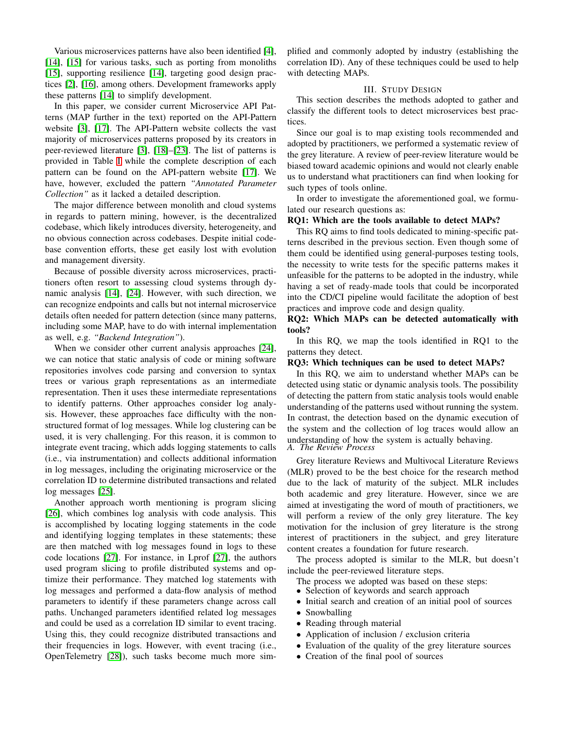Various microservices patterns have also been identified [\[4\]](#page-7-3), [\[14\]](#page-7-13), [\[15\]](#page-7-14) for various tasks, such as porting from monoliths [\[15\]](#page-7-14), supporting resilience [\[14\]](#page-7-13), targeting good design practices [\[2\]](#page-7-1), [\[16\]](#page-7-15), among others. Development frameworks apply these patterns [\[14\]](#page-7-13) to simplify development.

In this paper, we consider current Microservice API Patterns (MAP further in the text) reported on the API-Pattern website [\[3\]](#page-7-2), [\[17\]](#page-7-16). The API-Pattern website collects the vast majority of microservices patterns proposed by its creators in peer-reviewed literature [\[3\]](#page-7-2), [\[18\]](#page-7-17)–[\[23\]](#page-7-18). The list of patterns is provided in Table [I](#page-2-0) while the complete description of each pattern can be found on the API-pattern website [\[17\]](#page-7-16). We have, however, excluded the pattern *"Annotated Parameter Collection"* as it lacked a detailed description.

The major difference between monolith and cloud systems in regards to pattern mining, however, is the decentralized codebase, which likely introduces diversity, heterogeneity, and no obvious connection across codebases. Despite initial codebase convention efforts, these get easily lost with evolution and management diversity.

Because of possible diversity across microservices, practitioners often resort to assessing cloud systems through dynamic analysis [\[14\]](#page-7-13), [\[24\]](#page-7-19). However, with such direction, we can recognize endpoints and calls but not internal microservice details often needed for pattern detection (since many patterns, including some MAP, have to do with internal implementation as well, e.g. *"Backend Integration"*).

When we consider other current analysis approaches [\[24\]](#page-7-19), we can notice that static analysis of code or mining software repositories involves code parsing and conversion to syntax trees or various graph representations as an intermediate representation. Then it uses these intermediate representations to identify patterns. Other approaches consider log analysis. However, these approaches face difficulty with the nonstructured format of log messages. While log clustering can be used, it is very challenging. For this reason, it is common to integrate event tracing, which adds logging statements to calls (i.e., via instrumentation) and collects additional information in log messages, including the originating microservice or the correlation ID to determine distributed transactions and related log messages [\[25\]](#page-7-20).

Another approach worth mentioning is program slicing [\[26\]](#page-7-21), which combines log analysis with code analysis. This is accomplished by locating logging statements in the code and identifying logging templates in these statements; these are then matched with log messages found in logs to these code locations [\[27\]](#page-7-22). For instance, in Lprof [\[27\]](#page-7-22), the authors used program slicing to profile distributed systems and optimize their performance. They matched log statements with log messages and performed a data-flow analysis of method parameters to identify if these parameters change across call paths. Unchanged parameters identified related log messages and could be used as a correlation ID similar to event tracing. Using this, they could recognize distributed transactions and their frequencies in logs. However, with event tracing (i.e., OpenTelemetry [\[28\]](#page-7-23)), such tasks become much more simplified and commonly adopted by industry (establishing the correlation ID). Any of these techniques could be used to help with detecting MAPs.

# III. STUDY DESIGN

<span id="page-1-0"></span>This section describes the methods adopted to gather and classify the different tools to detect microservices best practices.

Since our goal is to map existing tools recommended and adopted by practitioners, we performed a systematic review of the grey literature. A review of peer-review literature would be biased toward academic opinions and would not clearly enable us to understand what practitioners can find when looking for such types of tools online.

In order to investigate the aforementioned goal, we formulated our research questions as:

#### RQ1: Which are the tools available to detect MAPs?

This RQ aims to find tools dedicated to mining-specific patterns described in the previous section. Even though some of them could be identified using general-purposes testing tools, the necessity to write tests for the specific patterns makes it unfeasible for the patterns to be adopted in the industry, while having a set of ready-made tools that could be incorporated into the CD/CI pipeline would facilitate the adoption of best practices and improve code and design quality.

# RQ2: Which MAPs can be detected automatically with tools?

In this RQ, we map the tools identified in RQ1 to the patterns they detect.

#### RQ3: Which techniques can be used to detect MAPs?

In this RQ, we aim to understand whether MAPs can be detected using static or dynamic analysis tools. The possibility of detecting the pattern from static analysis tools would enable understanding of the patterns used without running the system. In contrast, the detection based on the dynamic execution of the system and the collection of log traces would allow an understanding of how the system is actually behaving. *A. The Review Process*

Grey literature Reviews and Multivocal Literature Reviews (MLR) proved to be the best choice for the research method due to the lack of maturity of the subject. MLR includes both academic and grey literature. However, since we are aimed at investigating the word of mouth of practitioners, we will perform a review of the only grey literature. The key motivation for the inclusion of grey literature is the strong interest of practitioners in the subject, and grey literature content creates a foundation for future research.

The process adopted is similar to the MLR, but doesn't include the peer-reviewed literature steps.

- The process we adopted was based on these steps:
- Selection of keywords and search approach
- Initial search and creation of an initial pool of sources
- Snowballing
- Reading through material
- Application of inclusion / exclusion criteria
- Evaluation of the quality of the grey literature sources
- Creation of the final pool of sources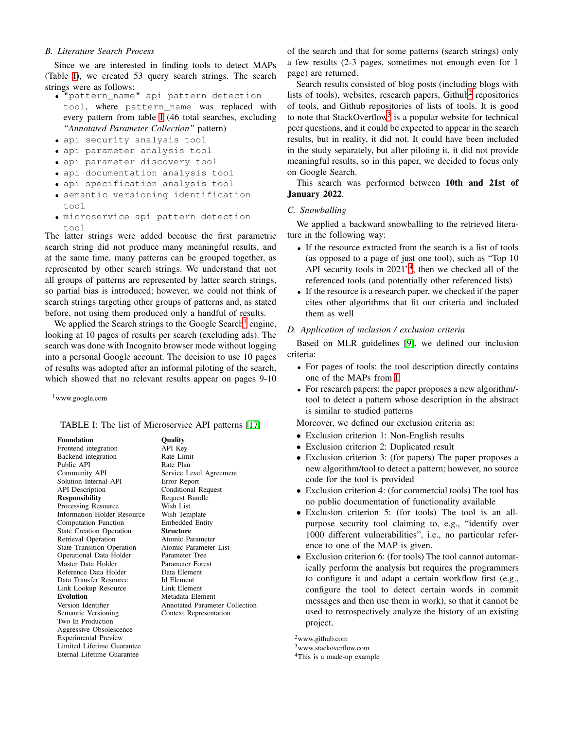# *B. Literature Search Process*

Since we are interested in finding tools to detect MAPs (Table [I\)](#page-2-0), we created 53 query search strings. The search strings were as follows:

- "pattern\_name" api pattern detection tool, where pattern\_name was replaced with every pattern from table [I](#page-2-0) (46 total searches, excluding *"Annotated Parameter Collection"* pattern)
- api security analysis tool
- api parameter analysis tool
- api parameter discovery tool
- api documentation analysis tool
- api specification analysis tool
- semantic versioning identification tool
- microservice api pattern detection tool

The latter strings were added because the first parametric search string did not produce many meaningful results, and at the same time, many patterns can be grouped together, as represented by other search strings. We understand that not all groups of patterns are represented by latter search strings, so partial bias is introduced; however, we could not think of search strings targeting other groups of patterns and, as stated before, not using them produced only a handful of results.

We applied the Search strings to the Google Search<sup>[1](#page-2-1)</sup> engine, looking at 10 pages of results per search (excluding ads). The search was done with Incognito browser mode without logging into a personal Google account. The decision to use 10 pages of results was adopted after an informal piloting of the search, which showed that no relevant results appear on pages 9-10

<span id="page-2-1"></span><sup>1</sup>www.google.com

<span id="page-2-0"></span>TABLE I: The list of Microservice API patterns [\[17\]](#page-7-16)

| <b>Foundation</b>                  |
|------------------------------------|
| Frontend integration               |
| Backend integration                |
| Public API                         |
| Community API                      |
|                                    |
| Solution Internal API              |
| <b>API</b> Description             |
| <b>Responsibility</b>              |
| Processing Resource                |
| <b>Information Holder Resource</b> |
| <b>Computation Function</b>        |
| <b>State Creation Operation</b>    |
| Retrieval Operation                |
| <b>State Transition Operation</b>  |
| Operational Data Holder            |
| Master Data Holder                 |
| Reference Data Holder              |
| Data Transfer Resource             |
| Link Lookup Resource               |
| <b>Evolution</b>                   |
| Version Identifier                 |
| Semantic Versioning                |
| Two In Production                  |
| Aggressive Obsolescence            |
| <b>Experimental Preview</b>        |
| Limited Lifetime Guarantee         |
| Eternal Lifetime Guarantee         |
|                                    |

Quality API Key Rate Limit Rate Plan Service Level Agreement Error Report Conditional Request Request Bundle Wish List **Wish Template** Embedded Entity Structure Atomic Parameter Atomic Parameter List Parameter Tree Parameter Forest Data Element Id Element Link Element Metadata Element Annotated Parameter Collection Context Representation

of the search and that for some patterns (search strings) only a few results (2-3 pages, sometimes not enough even for 1 page) are returned.

Search results consisted of blog posts (including blogs with lists of tools), websites, research papers, Github<sup>[2](#page-2-2)</sup> repositories of tools, and Github repositories of lists of tools. It is good to note that StackOverflow<sup>[3](#page-2-3)</sup> is a popular website for technical peer questions, and it could be expected to appear in the search results, but in reality, it did not. It could have been included in the study separately, but after piloting it, it did not provide meaningful results, so in this paper, we decided to focus only on Google Search.

This search was performed between 10th and 21st of January 2022.

# *C. Snowballing*

We applied a backward snowballing to the retrieved literature in the following way:

- If the resource extracted from the search is a list of tools (as opposed to a page of just one tool), such as "Top 10 API security tools in 2021"[4](#page-2-4) , then we checked all of the referenced tools (and potentially other referenced lists)
- If the resource is a research paper, we checked if the paper cites other algorithms that fit our criteria and included them as well

# *D. Application of inclusion / exclusion criteria*

Based on MLR guidelines [\[9\]](#page-7-8), we defined our inclusion criteria:

- For pages of tools: the tool description directly contains one of the MAPs from [I](#page-2-0)
- For research papers: the paper proposes a new algorithm/ tool to detect a pattern whose description in the abstract is similar to studied patterns

Moreover, we defined our exclusion criteria as:

- Exclusion criterion 1: Non-English results
- Exclusion criterion 2: Duplicated result
- Exclusion criterion 3: (for papers) The paper proposes a new algorithm/tool to detect a pattern; however, no source code for the tool is provided
- Exclusion criterion 4: (for commercial tools) The tool has no public documentation of functionality available
- Exclusion criterion 5: (for tools) The tool is an allpurpose security tool claiming to, e.g., "identify over 1000 different vulnerabilities", i.e., no particular reference to one of the MAP is given.
- Exclusion criterion 6: (for tools) The tool cannot automatically perform the analysis but requires the programmers to configure it and adapt a certain workflow first (e.g., configure the tool to detect certain words in commit messages and then use them in work), so that it cannot be used to retrospectively analyze the history of an existing project.

<sup>2</sup>www.github.com

<span id="page-2-2"></span><sup>3</sup>www.stackoverflow.com

<span id="page-2-4"></span><span id="page-2-3"></span><sup>4</sup>This is a made-up example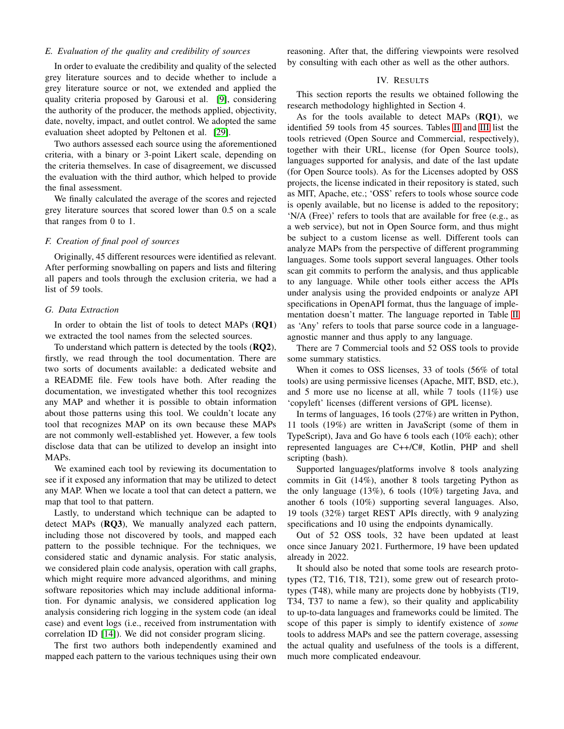# *E. Evaluation of the quality and credibility of sources*

In order to evaluate the credibility and quality of the selected grey literature sources and to decide whether to include a grey literature source or not, we extended and applied the quality criteria proposed by Garousi et al. [\[9\]](#page-7-8), considering the authority of the producer, the methods applied, objectivity, date, novelty, impact, and outlet control. We adopted the same evaluation sheet adopted by Peltonen et al. [\[29\]](#page-7-24).

Two authors assessed each source using the aforementioned criteria, with a binary or 3-point Likert scale, depending on the criteria themselves. In case of disagreement, we discussed the evaluation with the third author, which helped to provide the final assessment.

We finally calculated the average of the scores and rejected grey literature sources that scored lower than 0.5 on a scale that ranges from 0 to 1.

## *F. Creation of final pool of sources*

Originally, 45 different resources were identified as relevant. After performing snowballing on papers and lists and filtering all papers and tools through the exclusion criteria, we had a list of 59 tools.

## *G. Data Extraction*

In order to obtain the list of tools to detect MAPs (RQ1) we extracted the tool names from the selected sources.

To understand which pattern is detected by the tools (RQ2), firstly, we read through the tool documentation. There are two sorts of documents available: a dedicated website and a README file. Few tools have both. After reading the documentation, we investigated whether this tool recognizes any MAP and whether it is possible to obtain information about those patterns using this tool. We couldn't locate any tool that recognizes MAP on its own because these MAPs are not commonly well-established yet. However, a few tools disclose data that can be utilized to develop an insight into MAPs.

We examined each tool by reviewing its documentation to see if it exposed any information that may be utilized to detect any MAP. When we locate a tool that can detect a pattern, we map that tool to that pattern.

Lastly, to understand which technique can be adapted to detect MAPs (**RQ3**), We manually analyzed each pattern, including those not discovered by tools, and mapped each pattern to the possible technique. For the techniques, we considered static and dynamic analysis. For static analysis, we considered plain code analysis, operation with call graphs, which might require more advanced algorithms, and mining software repositories which may include additional information. For dynamic analysis, we considered application log analysis considering rich logging in the system code (an ideal case) and event logs (i.e., received from instrumentation with correlation ID [\[14\]](#page-7-13)). We did not consider program slicing.

The first two authors both independently examined and mapped each pattern to the various techniques using their own <span id="page-3-0"></span>reasoning. After that, the differing viewpoints were resolved by consulting with each other as well as the other authors.

## IV. RESULTS

This section reports the results we obtained following the research methodology highlighted in Section 4.

As for the tools available to detect MAPs (RQ1), we identified 59 tools from 45 sources. Tables [II](#page-4-0) and [III](#page-4-1) list the tools retrieved (Open Source and Commercial, respectively), together with their URL, license (for Open Source tools), languages supported for analysis, and date of the last update (for Open Source tools). As for the Licenses adopted by OSS projects, the license indicated in their repository is stated, such as MIT, Apache, etc.; 'OSS' refers to tools whose source code is openly available, but no license is added to the repository; 'N/A (Free)' refers to tools that are available for free (e.g., as a web service), but not in Open Source form, and thus might be subject to a custom license as well. Different tools can analyze MAPs from the perspective of different programming languages. Some tools support several languages. Other tools scan git commits to perform the analysis, and thus applicable to any language. While other tools either access the APIs under analysis using the provided endpoints or analyze API specifications in OpenAPI format, thus the language of implementation doesn't matter. The language reported in Table [II](#page-4-0) as 'Any' refers to tools that parse source code in a languageagnostic manner and thus apply to any language.

There are 7 Commercial tools and 52 OSS tools to provide some summary statistics.

When it comes to OSS licenses, 33 of tools (56% of total tools) are using permissive licenses (Apache, MIT, BSD, etc.), and 5 more use no license at all, while 7 tools  $(11\%)$  use 'copyleft' licenses (different versions of GPL license).

In terms of languages, 16 tools (27%) are written in Python, 11 tools (19%) are written in JavaScript (some of them in TypeScript), Java and Go have 6 tools each (10% each); other represented languages are C++/C#, Kotlin, PHP and shell scripting (bash).

Supported languages/platforms involve 8 tools analyzing commits in Git (14%), another 8 tools targeting Python as the only language (13%), 6 tools (10%) targeting Java, and another 6 tools (10%) supporting several languages. Also, 19 tools (32%) target REST APIs directly, with 9 analyzing specifications and 10 using the endpoints dynamically.

Out of 52 OSS tools, 32 have been updated at least once since January 2021. Furthermore, 19 have been updated already in 2022.

It should also be noted that some tools are research prototypes (T2, T16, T18, T21), some grew out of research prototypes (T48), while many are projects done by hobbyists (T19, T34, T37 to name a few), so their quality and applicability to up-to-data languages and frameworks could be limited. The scope of this paper is simply to identify existence of *some* tools to address MAPs and see the pattern coverage, assessing the actual quality and usefulness of the tools is a different, much more complicated endeavour.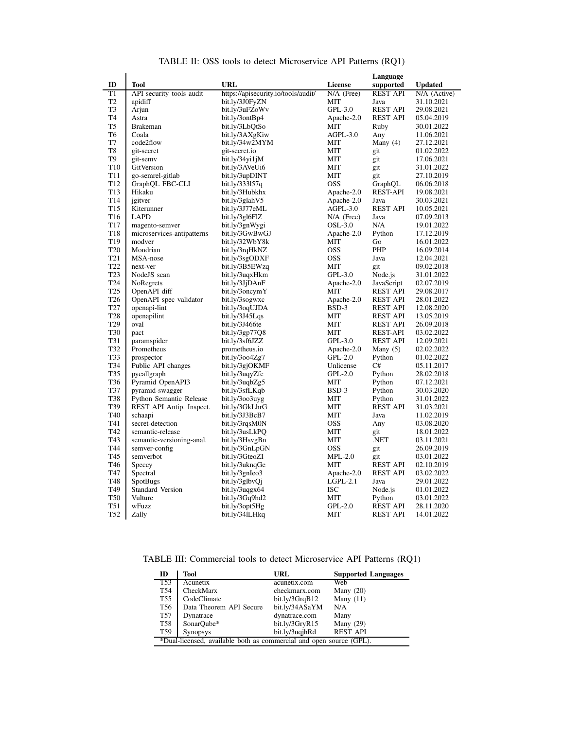<span id="page-4-0"></span>

|                          |                                |                                     | Language                 |                        |                          |
|--------------------------|--------------------------------|-------------------------------------|--------------------------|------------------------|--------------------------|
| ID                       | Tool                           | URL                                 | <b>License</b>           | supported              | <b>Updated</b>           |
| $\overline{\mathrm{T1}}$ | API security tools audit       | https://apisecurity.io/tools/audit/ | $N/A$ (Free)             | <b>REST API</b>        | N/A (Active)             |
| T <sub>2</sub>           | apidiff                        | bit.ly/3J0FyZN                      | <b>MIT</b>               | Java                   | 31.10.2021               |
| T <sub>3</sub>           | Arjun                          | bit.ly/3uFZoWv                      | $GPL-3.0$                | <b>REST API</b>        | 29.08.2021               |
| T <sub>4</sub>           | Astra                          | bit.ly/3ontBp4                      | Apache-2.0               | <b>REST API</b>        | 05.04.2019               |
| T <sub>5</sub>           | <b>Brakeman</b>                | bit.ly/3LbQtSo                      | MIT                      | Ruby                   | 30.01.2022               |
| T <sub>6</sub>           | Coala                          | bit.ly/3AXgKiw                      | $AGPL-3.0$               | Any                    | 11.06.2021               |
| T7                       | code2flow                      | bit.ly/34w2MYM                      | MIT                      | Many $(4)$             | 27.12.2021               |
| T <sub>8</sub>           | git-secret                     | git-secret.io                       | MIT                      | git                    | 01.02.2022               |
| T <sub>9</sub>           | git-semv                       | bit.ly/34yi1jM                      | MIT                      | git                    | 17.06.2021               |
| T <sub>10</sub>          | GitVersion                     | bit.ly/3AVeUi6                      | MIT                      | git                    | 31.01.2022               |
| T <sub>11</sub>          | go-semrel-gitlab               | bit.ly/3upDINT                      | MIT                      | git                    | 27.10.2019               |
| T <sub>12</sub>          | GraphQL FBC-CLI                | bit.ly/333157q                      | <b>OSS</b>               | GraphQL                | 06.06.2018               |
| T <sub>13</sub>          | Hikaku                         | bit.ly/3Hubkhx                      | Apache-2.0               | <b>REST-API</b>        | 19.08.2021               |
| T <sub>14</sub>          | jgitver                        | bit.ly/3glahV5                      | Apache-2.0               | Java                   | 30.03.2021               |
| T <sub>15</sub>          | Kiterunner                     | bit.ly/3J77eML                      | $AGPL-3.0$               | <b>REST API</b>        | 10.05.2021               |
| T <sub>16</sub>          | <b>LAPD</b>                    | bit.ly/3gl6FlZ                      | $N/A$ (Free)             | Java                   | 07.09.2013               |
| T <sub>17</sub>          | magento-semver                 | bit.ly/3gnWygi                      | $OSL-3.0$                | N/A                    | 19.01.2022               |
| T <sub>18</sub>          | microservices-antipatterns     | bit.ly/3GwBwGJ                      | Apache-2.0               | Python                 | 17.12.2019               |
| T <sub>19</sub>          | modver                         | bit.ly/32WbY8k                      | MIT                      | Go                     | 16.01.2022               |
| T <sub>20</sub>          | Mondrian                       | bit.ly/3rqHkNZ                      | <b>OSS</b>               | PHP                    | 16.09.2014               |
| T <sub>21</sub>          | MSA-nose                       | bit.ly/3sgODXF                      | <b>OSS</b>               | Java                   | 12.04.2021               |
| T <sub>22</sub>          | next-ver                       | bit.ly/3B5EWzq                      | MIT                      | git                    | 09.02.2018               |
| T <sub>23</sub>          | NodeJS scan                    | bit.ly/3uqxHkm                      | $GPL-3.0$                | Node.js                | 31.01.2022               |
| T <sub>24</sub>          | NoRegrets                      | bit.ly/3JjDAnF                      | Apache-2.0               | JavaScript             | 02.07.2019               |
| T <sub>25</sub>          | OpenAPI diff                   | bit.ly/3oncymY                      | МIТ                      | <b>REST API</b>        | 29.08.2017               |
| T <sub>26</sub>          | OpenAPI spec validator         | bit.ly/3sogwxc                      | Apache-2.0               | <b>REST API</b>        | 28.01.2022               |
| T27                      | openapi-lint                   | bit.ly/3oqUJDA                      | BSD-3                    | <b>REST API</b>        | 12.08.2020               |
| T <sub>28</sub>          | openapilint                    | bit.ly/3J45Lqs                      | MIT                      | <b>REST API</b>        | 13.05.2019               |
| T <sub>29</sub>          | oval                           | bit.ly/3J466te                      | MIT                      | <b>REST API</b>        | 26.09.2018               |
| T30                      | pact                           | bit.ly/3gp77Q8                      | <b>MIT</b>               | <b>REST-API</b>        | 03.02.2022               |
| T31                      | paramspider                    | bit.ly/3sf6JZZ                      | $GPL-3.0$                | <b>REST API</b>        | 12.09.2021               |
| T32                      | Prometheus                     | prometheus.io                       | Apache-2.0               | Many $(5)$             | 02.02.2022               |
| T33                      | prospector                     | bit.ly/3004Zg7                      | $GPL-2.0$                | Python                 | 01.02.2022               |
| T34                      | Public API changes             | bit.ly/3gjOKMF                      | Unlicense                | C#                     | 05.11.2017               |
| T35                      | pycallgraph                    | bit.ly/3uqyZfc                      | $GPL-2.0$                | Python                 | 28.02.2018               |
| T36                      | Pyramid OpenAPI3               | bit.ly/3uqbZg5                      | MIT                      | Python                 | 07.12.2021               |
| T37                      | pyramid-swagger                | bit.ly/3sfLKqb                      | BSD-3                    | Python                 | 30.03.2020               |
| T38                      | <b>Python Semantic Release</b> | bit.ly/3003uyg                      | MIT                      | Python                 | 31.01.2022               |
| T39                      | REST API Antip. Inspect.       | bit.ly/3GkLhrG                      | MIT                      | <b>REST API</b>        | 31.03.2021               |
| T <sub>40</sub>          | schaapi                        | bit.ly/3J3BcB7                      | MIT                      | Java                   | 11.02.2019               |
| T41                      | secret-detection               | bit.ly/3rqsM0N                      | <b>OSS</b>               | Any                    | 03.08.2020               |
| T42                      | semantic-release               | bit.ly/3usLkPQ                      | MIT                      | git                    | 18.01.2022               |
| T43                      | semantic-versioning-anal.      | bit.ly/3HsvgBn                      | MIT                      | .NET                   | 03.11.2021               |
| T44                      | semver-config                  | bit.ly/3GnLpGN                      | <b>OSS</b>               | git                    | 26.09.2019               |
| T45<br>T46               | semverbot                      | bit.ly/3GteoZI                      | $MPL-2.0$                | git<br><b>REST API</b> | 03.01.2022               |
| T47                      | Speccy<br>Spectral             | bit.ly/3uknqGe                      | МIТ                      | <b>REST API</b>        | 02.10.2019               |
| T48                      | <b>SpotBugs</b>                | bit.ly/3gnIeo3                      | Apache-2.0<br>$LGPL-2.1$ | Java                   | 03.02.2022<br>29.01.2022 |
| T49                      | <b>Standard Version</b>        | bit.ly/3glbvQj<br>bit.ly/3uggx64    | ISC                      | Node.js                | 01.01.2022               |
| <b>T50</b>               | Vulture                        | bit.ly/3Gq9hd2                      | MIT                      | Python                 | 03.01.2022               |
| T51                      | wFuzz                          | bit.ly/3opt5Hg                      | $GPL-2.0$                | REST API               | 28.11.2020               |
| T <sub>52</sub>          | Zally                          | bit.ly/34lLHkq                      | MIT                      | <b>REST API</b>        | 14.01.2022               |
|                          |                                |                                     |                          |                        |                          |

TABLE II: OSS tools to detect Microservice API Patterns (RQ1)

<span id="page-4-1"></span>TABLE III: Commercial tools to detect Microservice API Patterns (RQ1)

| ID                                                                  | Tool                    | URL             | <b>Supported Languages</b> |  |  |  |
|---------------------------------------------------------------------|-------------------------|-----------------|----------------------------|--|--|--|
| T53                                                                 | Acunetix                | acunetix.com    | Web                        |  |  |  |
| T54                                                                 | CheckMarx               | checkmarx.com   | Many $(20)$                |  |  |  |
| <b>T55</b>                                                          | CodeClimate             | bit. ly/3GrqB12 | Many $(11)$                |  |  |  |
| T56                                                                 | Data Theorem API Secure | bit.ly/34ASaYM  | N/A                        |  |  |  |
| <b>T57</b>                                                          | Dynatrace               | dynatrace.com   | Many                       |  |  |  |
| <b>T58</b>                                                          | SonarQube*              | bit.ly/3GryR15  | Many $(29)$                |  |  |  |
| T59                                                                 | <b>Synopsys</b>         | bit.ly/3uqjhRd  | <b>REST API</b>            |  |  |  |
| *Dual-licensed, available both as commercial and open source (GPL). |                         |                 |                            |  |  |  |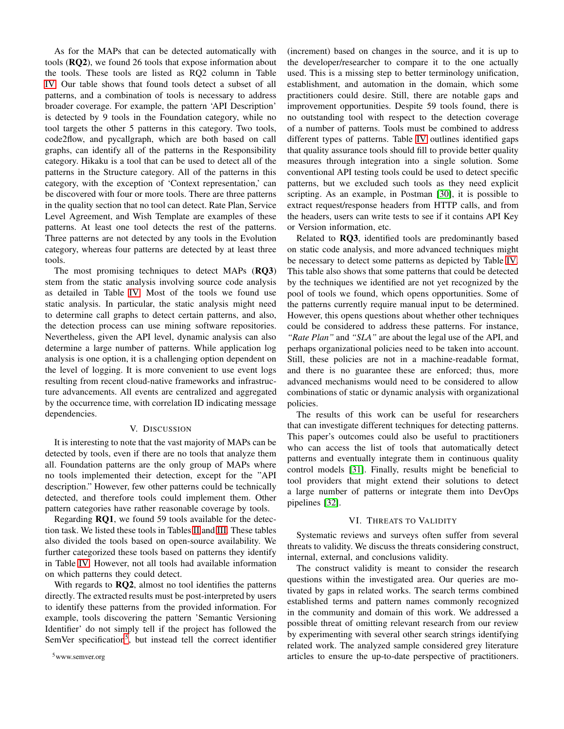As for the MAPs that can be detected automatically with tools (RQ2), we found 26 tools that expose information about the tools. These tools are listed as RQ2 column in Table [IV.](#page-6-0) Our table shows that found tools detect a subset of all patterns, and a combination of tools is necessary to address broader coverage. For example, the pattern 'API Description' is detected by 9 tools in the Foundation category, while no tool targets the other 5 patterns in this category. Two tools, code2flow, and pycallgraph, which are both based on call graphs, can identify all of the patterns in the Responsibility category. Hikaku is a tool that can be used to detect all of the patterns in the Structure category. All of the patterns in this category, with the exception of 'Context representation,' can be discovered with four or more tools. There are three patterns in the quality section that no tool can detect. Rate Plan, Service Level Agreement, and Wish Template are examples of these patterns. At least one tool detects the rest of the patterns. Three patterns are not detected by any tools in the Evolution category, whereas four patterns are detected by at least three tools.

The most promising techniques to detect MAPs (RQ3) stem from the static analysis involving source code analysis as detailed in Table [IV.](#page-6-0) Most of the tools we found use static analysis. In particular, the static analysis might need to determine call graphs to detect certain patterns, and also, the detection process can use mining software repositories. Nevertheless, given the API level, dynamic analysis can also determine a large number of patterns. While application log analysis is one option, it is a challenging option dependent on the level of logging. It is more convenient to use event logs resulting from recent cloud-native frameworks and infrastructure advancements. All events are centralized and aggregated by the occurrence time, with correlation ID indicating message dependencies.

#### V. DISCUSSION

<span id="page-5-0"></span>It is interesting to note that the vast majority of MAPs can be detected by tools, even if there are no tools that analyze them all. Foundation patterns are the only group of MAPs where no tools implemented their detection, except for the "API description." However, few other patterns could be technically detected, and therefore tools could implement them. Other pattern categories have rather reasonable coverage by tools.

Regarding **RQ1**, we found 59 tools available for the detection task. We listed these tools in Tables [II](#page-4-0) and [III.](#page-4-1) These tables also divided the tools based on open-source availability. We further categorized these tools based on patterns they identify in Table [IV.](#page-6-0) However, not all tools had available information on which patterns they could detect.

With regards to **RQ2**, almost no tool identifies the patterns directly. The extracted results must be post-interpreted by users to identify these patterns from the provided information. For example, tools discovering the pattern 'Semantic Versioning Identifier' do not simply tell if the project has followed the SemVer specification<sup>[5](#page-5-2)</sup>, but instead tell the correct identifier

<span id="page-5-2"></span><sup>5</sup>www.semver.org

(increment) based on changes in the source, and it is up to the developer/researcher to compare it to the one actually used. This is a missing step to better terminology unification, establishment, and automation in the domain, which some practitioners could desire. Still, there are notable gaps and improvement opportunities. Despite 59 tools found, there is no outstanding tool with respect to the detection coverage of a number of patterns. Tools must be combined to address different types of patterns. Table [IV](#page-6-0) outlines identified gaps that quality assurance tools should fill to provide better quality measures through integration into a single solution. Some conventional API testing tools could be used to detect specific patterns, but we excluded such tools as they need explicit scripting. As an example, in Postman [\[30\]](#page-7-25), it is possible to extract request/response headers from HTTP calls, and from the headers, users can write tests to see if it contains API Key or Version information, etc.

Related to RQ3, identified tools are predominantly based on static code analysis, and more advanced techniques might be necessary to detect some patterns as depicted by Table [IV.](#page-6-0) This table also shows that some patterns that could be detected by the techniques we identified are not yet recognized by the pool of tools we found, which opens opportunities. Some of the patterns currently require manual input to be determined. However, this opens questions about whether other techniques could be considered to address these patterns. For instance, *"Rate Plan"* and *"SLA"* are about the legal use of the API, and perhaps organizational policies need to be taken into account. Still, these policies are not in a machine-readable format, and there is no guarantee these are enforced; thus, more advanced mechanisms would need to be considered to allow combinations of static or dynamic analysis with organizational policies.

The results of this work can be useful for researchers that can investigate different techniques for detecting patterns. This paper's outcomes could also be useful to practitioners who can access the list of tools that automatically detect patterns and eventually integrate them in continuous quality control models [\[31\]](#page-7-26). Finally, results might be beneficial to tool providers that might extend their solutions to detect a large number of patterns or integrate them into DevOps pipelines [\[32\]](#page-7-27).

#### VI. THREATS TO VALIDITY

<span id="page-5-1"></span>Systematic reviews and surveys often suffer from several threats to validity. We discuss the threats considering construct, internal, external, and conclusions validity.

The construct validity is meant to consider the research questions within the investigated area. Our queries are motivated by gaps in related works. The search terms combined established terms and pattern names commonly recognized in the community and domain of this work. We addressed a possible threat of omitting relevant research from our review by experimenting with several other search strings identifying related work. The analyzed sample considered grey literature articles to ensure the up-to-date perspective of practitioners.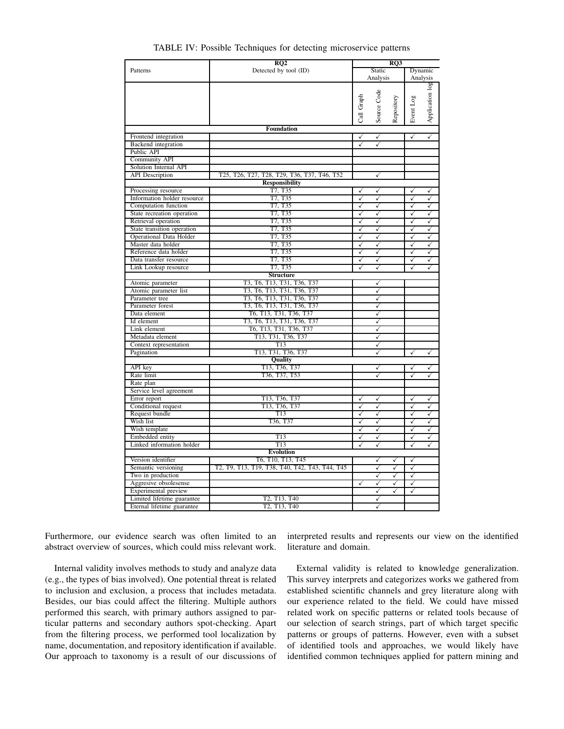<span id="page-6-0"></span>

|                             | RQ2                                            |              | RQ3          |            |              |                 |
|-----------------------------|------------------------------------------------|--------------|--------------|------------|--------------|-----------------|
| Patterns                    | Detected by tool (ID)                          | Static       |              |            | Dynamic      |                 |
|                             |                                                |              | Analysis     |            |              | Analysis        |
|                             |                                                |              |              |            |              | Application log |
|                             |                                                |              | Source Code  |            |              |                 |
|                             |                                                |              |              |            |              |                 |
|                             |                                                |              |              |            |              |                 |
|                             |                                                | Call Graph   |              | Repository | Event Log    |                 |
|                             |                                                |              |              |            |              |                 |
|                             | <b>Foundation</b>                              |              |              |            |              |                 |
| Frontend integration        |                                                | ✓            | $\checkmark$ |            | $\checkmark$ | $\checkmark$    |
| Backend integration         |                                                | ✓            | ✓            |            |              |                 |
| Public API                  |                                                |              |              |            |              |                 |
| <b>Community API</b>        |                                                |              |              |            |              |                 |
| Solution Internal API       |                                                |              |              |            |              |                 |
| <b>API</b> Description      | T25, T26, T27, T28, T29, T36, T37, T46, T52    |              | ✓            |            |              |                 |
|                             | <b>Responsibility</b>                          |              |              |            |              |                 |
| Processing resource         | T7, T35                                        | ✓            | ✓            |            | ✓            | ✓               |
| Information holder resource | T7, T35                                        | ✓            | ✓            |            | ✓            | ✓               |
| Computation function        | T7. T35                                        | ✓            | $\checkmark$ |            | $\checkmark$ | $\checkmark$    |
| State recreation operation  | T7. T35                                        | ✓            | ✓            |            | $\checkmark$ | $\checkmark$    |
| Retrieval operation         | T7. T35                                        | ✓            | ✓            |            | ✓            | ✓               |
| State transition operation  | T7, T35                                        | ✓            | ✓            |            | ✓            | ✓               |
| Operational Data Holder     | T7, T35                                        | ✓            | ✓            |            | ✓            | ✓               |
| Master data holder          | T7, T35                                        | ✓            | ✓            |            | ✓            | ✓               |
| Reference data holder       | T7, T35                                        | ✓            | ✓            |            | ✓            | ✓               |
| Data transfer resource      | T7, T35                                        | $\checkmark$ | ✓            |            | $\checkmark$ | ✓               |
| Link Lookup resource        | T7, T35                                        | ✓            | ✓            |            | ✓            | ✓               |
|                             | <b>Structure</b>                               |              |              |            |              |                 |
| Atomic parameter            | T3, T6, T13, T31, T36, T37                     |              | ✓            |            |              |                 |
| Atomic parameter list       | T3, T6, T13, T31, T36, T37                     |              | ✓            |            |              |                 |
| Parameter tree              | T3, T6, T13, T31, T36, T37                     |              | ✓            |            |              |                 |
| Parameter forest            | T3, T6, T13, T31, T36, T37                     |              | ✓            |            |              |                 |
|                             |                                                |              |              |            |              |                 |
| Data element                | T6, T13, T31, T36, T37                         |              | ✓            |            |              |                 |
| Id element                  | T3, T6, T13, T31, T36, T37                     |              | ✓            |            |              |                 |
| Link element                | T6, T13, T31, T36, T37                         |              | ✓            |            |              |                 |
| Metadata element            | T13, T31, T36, T37                             |              | ✓            |            |              |                 |
| Context representation      | T13                                            |              | ✓            |            |              |                 |
| Pagination                  | T13, T31, T36, T37                             |              | ✓            |            | ✓            | ✓               |
|                             | <b>Quality</b>                                 |              |              |            |              |                 |
| API key                     | T13, T36, T37                                  |              | ✓            |            | $\checkmark$ | ✓               |
| Rate limit                  | T36, T37, T53                                  |              | ✓            |            | ✓            | ✓               |
| Rate plan                   |                                                |              |              |            |              |                 |
| Service level agreement     |                                                |              |              |            |              |                 |
| Error report                | T13, T36, T37                                  | ✓            | √            |            | ✓            | ✓               |
| Conditional request         | T13, T36, T37                                  | ✓            | ✓            |            | ✓            | ✓               |
| Request bundle              | T <sub>13</sub>                                | ✓            | ✓            |            | ✓            | ✓               |
| Wish list                   | T36, T37                                       | ✓            | ✓            |            | ✓            | ✓               |
| Wish template               |                                                | $\checkmark$ | ✓            |            | ✓            | ✓               |
| Embedded entity             | T13                                            | ✓            | ✓            |            | ✓            | ✓               |
| Linked information holder   | T13                                            | ✓            | ✓            |            | ✓            | ✓               |
| <b>Evolution</b>            |                                                |              |              |            |              |                 |
| Version identifier          | T6, T10, T13, T45                              |              | ✓            | ✓          | ✓            |                 |
| Semantic versioning         | T2, T9, T13, T19, T38, T40, T42, T43, T44, T45 |              | ✓            | ✓          | ✓            |                 |
| Two in production           |                                                |              | ✓            | ✓          | $\checkmark$ |                 |
| Aggresive obsolesense       |                                                | ✓            | ✓            | ✓          | ✓            |                 |
| Experimental preview        |                                                |              | ✓            | ✓          | ✓            |                 |
| Limited lifetime guarantee  | T2, T13, T40                                   |              | ✓            |            |              |                 |
| Eternal lifetime guarantee  | T2, T13, T40                                   |              | ✓            |            |              |                 |
|                             |                                                |              |              |            |              |                 |

TABLE IV: Possible Techniques for detecting microservice patterns

Furthermore, our evidence search was often limited to an abstract overview of sources, which could miss relevant work.

Internal validity involves methods to study and analyze data (e.g., the types of bias involved). One potential threat is related to inclusion and exclusion, a process that includes metadata. Besides, our bias could affect the filtering. Multiple authors performed this search, with primary authors assigned to particular patterns and secondary authors spot-checking. Apart from the filtering process, we performed tool localization by name, documentation, and repository identification if available. Our approach to taxonomy is a result of our discussions of interpreted results and represents our view on the identified literature and domain.

External validity is related to knowledge generalization. This survey interprets and categorizes works we gathered from established scientific channels and grey literature along with our experience related to the field. We could have missed related work on specific patterns or related tools because of our selection of search strings, part of which target specific patterns or groups of patterns. However, even with a subset of identified tools and approaches, we would likely have identified common techniques applied for pattern mining and